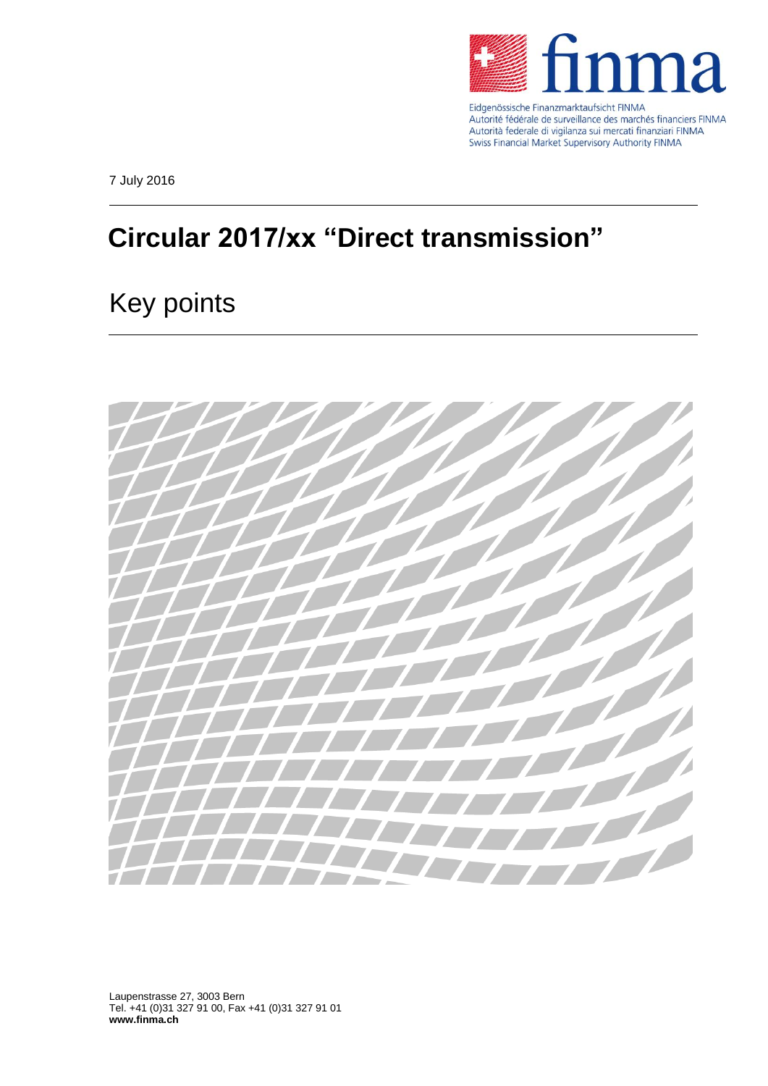

Eidgenössische Finanzmarktaufsicht FINMA Autorité fédérale de surveillance des marchés financiers FINMA Autorità federale di vigilanza sui mercati finanziari FINMA Swiss Financial Market Supervisory Authority FINMA

7 July 2016

## **Circular 2017/xx "Direct transmission"**

## Key points



Laupenstrasse 27, 3003 Bern Tel. +41 (0)31 327 91 00, Fax +41 (0)31 327 91 01 **www.finma.ch**